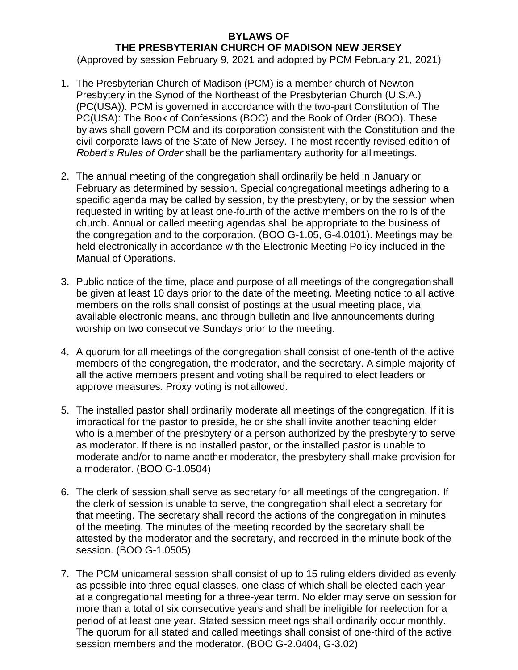## **BYLAWS OF THE PRESBYTERIAN CHURCH OF MADISON NEW JERSEY**

(Approved by session February 9, 2021 and adopted by PCM February 21, 2021)

- 1. The Presbyterian Church of Madison (PCM) is a member church of Newton Presbytery in the Synod of the Northeast of the Presbyterian Church (U.S.A.) (PC(USA)). PCM is governed in accordance with the two-part Constitution of The PC(USA): The Book of Confessions (BOC) and the Book of Order (BOO). These bylaws shall govern PCM and its corporation consistent with the Constitution and the civil corporate laws of the State of New Jersey. The most recently revised edition of *Robert's Rules of Order* shall be the parliamentary authority for all meetings.
- 2. The annual meeting of the congregation shall ordinarily be held in January or February as determined by session. Special congregational meetings adhering to a specific agenda may be called by session, by the presbytery, or by the session when requested in writing by at least one-fourth of the active members on the rolls of the church. Annual or called meeting agendas shall be appropriate to the business of the congregation and to the corporation. (BOO G-1.05, G-4.0101). Meetings may be held electronically in accordance with the Electronic Meeting Policy included in the Manual of Operations.
- 3. Public notice of the time, place and purpose of all meetings of the congregationshall be given at least 10 days prior to the date of the meeting. Meeting notice to all active members on the rolls shall consist of postings at the usual meeting place, via available electronic means, and through bulletin and live announcements during worship on two consecutive Sundays prior to the meeting.
- 4. A quorum for all meetings of the congregation shall consist of one-tenth of the active members of the congregation, the moderator, and the secretary. A simple majority of all the active members present and voting shall be required to elect leaders or approve measures. Proxy voting is not allowed.
- 5. The installed pastor shall ordinarily moderate all meetings of the congregation. If it is impractical for the pastor to preside, he or she shall invite another teaching elder who is a member of the presbytery or a person authorized by the presbytery to serve as moderator. If there is no installed pastor, or the installed pastor is unable to moderate and/or to name another moderator, the presbytery shall make provision for a moderator. (BOO G-1.0504)
- 6. The clerk of session shall serve as secretary for all meetings of the congregation. If the clerk of session is unable to serve, the congregation shall elect a secretary for that meeting. The secretary shall record the actions of the congregation in minutes of the meeting. The minutes of the meeting recorded by the secretary shall be attested by the moderator and the secretary, and recorded in the minute book of the session. (BOO G-1.0505)
- 7. The PCM unicameral session shall consist of up to 15 ruling elders divided as evenly as possible into three equal classes, one class of which shall be elected each year at a congregational meeting for a three-year term. No elder may serve on session for more than a total of six consecutive years and shall be ineligible for reelection for a period of at least one year. Stated session meetings shall ordinarily occur monthly. The quorum for all stated and called meetings shall consist of one-third of the active session members and the moderator. (BOO G-2.0404, G-3.02)